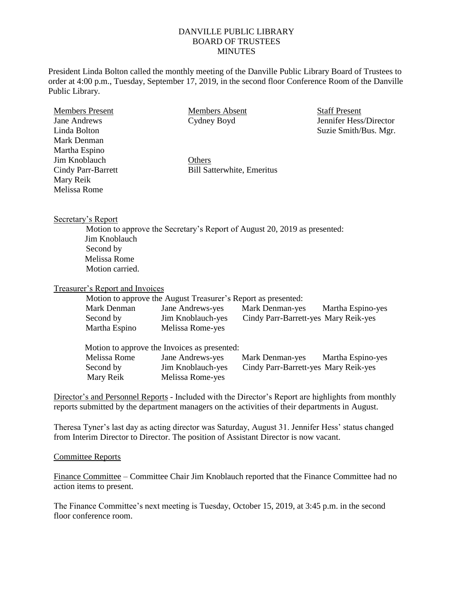## DANVILLE PUBLIC LIBRARY BOARD OF TRUSTEES **MINUTES**

President Linda Bolton called the monthly meeting of the Danville Public Library Board of Trustees to order at 4:00 p.m., Tuesday, September 17, 2019, in the second floor Conference Room of the Danville Public Library.

Members Present Jane Andrews Linda Bolton Mark Denman Martha Espino Jim Knoblauch Cindy Parr-Barrett Mary Reik Melissa Rome

Members Absent Cydney Boyd Staff Present Jennifer Hess/Director Suzie Smith/Bus. Mgr.

**Others** Bill Satterwhite, Emeritus

Secretary's Report

Motion to approve the Secretary's Report of August 20, 2019 as presented: Jim Knoblauch Second by Melissa Rome Motion carried.

Treasurer's Report and Invoices

Motion to approve the August Treasurer's Report as presented:

| Mark Denman   | Jane Andrews-yes  | Mark Denman-yes                      | Martha Espino-yes |
|---------------|-------------------|--------------------------------------|-------------------|
| Second by     | Jim Knoblauch-yes | Cindy Parr-Barrett-yes Mary Reik-yes |                   |
| Martha Espino | Melissa Rome-yes  |                                      |                   |

| Motion to approve the Invoices as presented: |                   |                                      |                   |  |  |
|----------------------------------------------|-------------------|--------------------------------------|-------------------|--|--|
| Melissa Rome                                 | Jane Andrews-yes  | Mark Denman-yes                      | Martha Espino-yes |  |  |
| Second by                                    | Jim Knoblauch-yes | Cindy Parr-Barrett-yes Mary Reik-yes |                   |  |  |
| Mary Reik                                    | Melissa Rome-yes  |                                      |                   |  |  |

Director's and Personnel Reports - Included with the Director's Report are highlights from monthly reports submitted by the department managers on the activities of their departments in August.

Theresa Tyner's last day as acting director was Saturday, August 31. Jennifer Hess' status changed from Interim Director to Director. The position of Assistant Director is now vacant.

## Committee Reports

Finance Committee – Committee Chair Jim Knoblauch reported that the Finance Committee had no action items to present.

The Finance Committee's next meeting is Tuesday, October 15, 2019, at 3:45 p.m. in the second floor conference room.